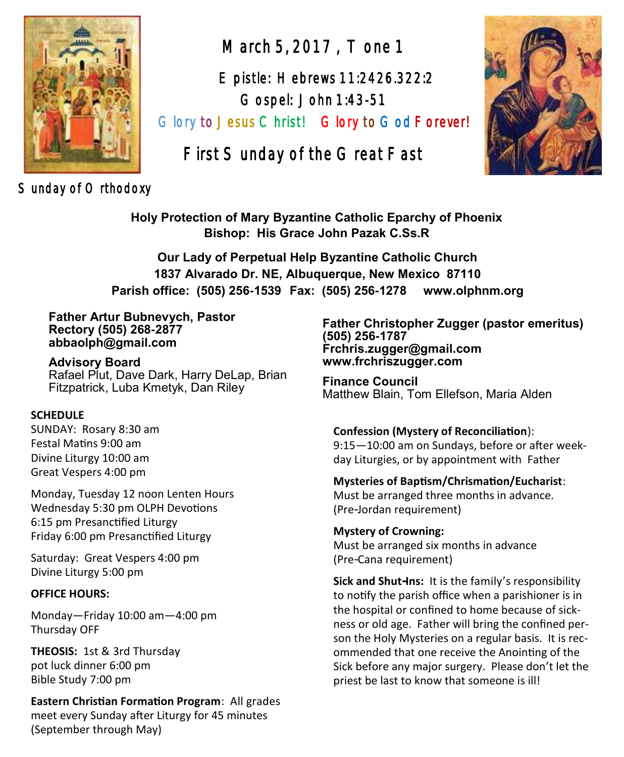

Sunday of Orthodoxy

March 5, 2017 , Tone 1

 Epistle: Hebrews 11:2426.322:2 Gospel: John 1:43-51

Glory to Jesus Christ! Glory to God Forever!

# First Sunday of the Great Fast



**Holy Protection of Mary Byzantine Catholic Eparchy of Phoenix Bishop: His Grace John Pazak C.Ss.R**

**Our Lady of Perpetual Help Byzantine Catholic Church 1837 Alvarado Dr. NE, Albuquerque, New Mexico 87110 Parish office: (505) 256-1539 Fax: (505) 256-1278 www.olphnm.org**

**Father Artur Bubnevych, Pastor Rectory (505) 268-2877 abbaolph@gmail.com** 

**Advisory Board**  Rafael Plut, Dave Dark, Harry DeLap, Brian Fitzpatrick, Luba Kmetyk, Dan Riley

#### **SCHEDULE**

SUNDAY: Rosary 8:30 am Festal Matins 9:00 am Divine Liturgy 10:00 am Great Vespers 4:00 pm

Monday, Tuesday 12 noon Lenten Hours Wednesday 5:30 pm OLPH Devotions 6:15 pm Presanctified Liturgy Friday 6:00 pm Presanctified Liturgy

Saturday: Great Vespers 4:00 pm Divine Liturgy 5:00 pm

#### **OFFICE HOURS:**

Monday—Friday 10:00 am—4:00 pm Thursday OFF

**THEOSIS:** 1st & 3rd Thursday pot luck dinner 6:00 pm Bible Study 7:00 pm

**Eastern Christian Formation Program**: All grades meet every Sunday after Liturgy for 45 minutes (September through May)

**Father Christopher Zugger (pastor emeritus) (505) 256-1787 Frchris.zugger@gmail.com www.frchriszugger.com** 

**Finance Council**  Matthew Blain, Tom Ellefson, Maria Alden

#### **Confession (Mystery of Reconciliation**):

9:15—10:00 am on Sundays, before or after weekday Liturgies, or by appointment with Father

#### **Mysteries of Baptism/Chrismation/Eucharist**:

Must be arranged three months in advance. (Pre-Jordan requirement)

**Mystery of Crowning:**  Must be arranged six months in advance (Pre-Cana requirement)

**Sick and Shut-Ins:** It is the family's responsibility to notify the parish office when a parishioner is in the hospital or confined to home because of sickness or old age. Father will bring the confined person the Holy Mysteries on a regular basis. It is recommended that one receive the Anointing of the Sick before any major surgery. Please don't let the priest be last to know that someone is ill!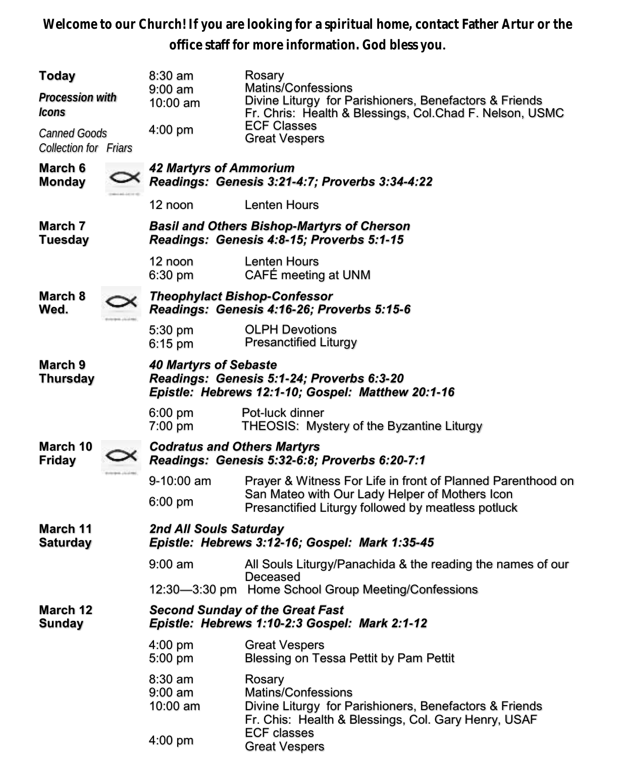**Welcome to our Church! If you are looking for a spiritual home, contact Father Artur or the office staff for more information. God bless you.**

| Today<br>Procession with<br><i>Icons</i><br>Canned Goods |  | $8:30$ am<br>$9:00 \text{ am}$<br>10:00 am<br>4:00 pm                                                                          | Rosary<br>Matins/Confessions<br>Divine Liturgy for Parishioners, Benefactors & Friends<br>Fr. Chris: Health & Blessings, Col.Chad F. Nelson, USMC<br><b>ECF Classes</b><br><b>Great Vespers</b> |  |  |
|----------------------------------------------------------|--|--------------------------------------------------------------------------------------------------------------------------------|-------------------------------------------------------------------------------------------------------------------------------------------------------------------------------------------------|--|--|
| <b>Collection for Friars</b>                             |  |                                                                                                                                |                                                                                                                                                                                                 |  |  |
| March 6<br><b>Monday</b>                                 |  | <b>42 Martyrs of Ammorium</b><br>Readings: Genesis 3:21-4:7; Proverbs 3:34-4:22                                                |                                                                                                                                                                                                 |  |  |
|                                                          |  | 12 noon                                                                                                                        | <b>Lenten Hours</b>                                                                                                                                                                             |  |  |
| March 7<br><b>Tuesday</b>                                |  | <b>Basil and Others Bishop-Martyrs of Cherson</b><br>Readings: Genesis 4:8-15; Proverbs 5:1-15                                 |                                                                                                                                                                                                 |  |  |
|                                                          |  | 12 noon<br>6:30 pm                                                                                                             | Lenten Hours<br>CAFÉ meeting at UNM                                                                                                                                                             |  |  |
| March 8<br>Wed.                                          |  | <b>Theophylact Bishop-Confessor</b><br>Readings: Genesis 4:16-26; Proverbs 5:15-6                                              |                                                                                                                                                                                                 |  |  |
|                                                          |  | 5:30 pm<br>6:15 pm                                                                                                             | <b>OLPH Devotions</b><br><b>Presanctified Liturgy</b>                                                                                                                                           |  |  |
| March 9<br><b>Thursday</b>                               |  | <b>40 Martyrs of Sebaste</b><br>Readings: Genesis 5:1-24; Proverbs 6:3-20<br>Epistle: Hebrews 12:1-10; Gospel: Matthew 20:1-16 |                                                                                                                                                                                                 |  |  |
|                                                          |  | 6:00 pm<br>7:00 pm                                                                                                             | Pot-luck dinner<br>THEOSIS: Mystery of the Byzantine Liturgy                                                                                                                                    |  |  |
| March 10<br>Friday                                       |  | <b>Codratus and Others Martyrs</b><br>Readings: Genesis 5:32-6:8; Proverbs 6:20-7:1                                            |                                                                                                                                                                                                 |  |  |
|                                                          |  | 9-10:00 am<br>$6:00 \text{ pm}$                                                                                                | Prayer & Witness For Life in front of Planned Parenthood on<br>San Mateo with Our Lady Helper of Mothers Icon<br>Presanctified Liturgy followed by meatless potluck                             |  |  |
| March 11<br><b>Saturday</b>                              |  | 2nd All Souls Saturday<br>Epistle: Hebrews 3:12-16; Gospel: Mark 1:35-45                                                       |                                                                                                                                                                                                 |  |  |
|                                                          |  | $9:00 \text{ am}$                                                                                                              | All Souls Liturgy/Panachida & the reading the names of our                                                                                                                                      |  |  |
|                                                          |  |                                                                                                                                | Deceased<br>12:30-3:30 pm Home School Group Meeting/Confessions                                                                                                                                 |  |  |
| March 12<br>Sunday                                       |  | <b>Second Sunday of the Great Fast</b><br>Epistle: Hebrews 1:10-2:3 Gospel: Mark 2:1-12                                        |                                                                                                                                                                                                 |  |  |
|                                                          |  | 4:00 pm<br>5:00 pm                                                                                                             | <b>Great Vespers</b><br>Blessing on Tessa Pettit by Pam Pettit                                                                                                                                  |  |  |
|                                                          |  | 8:30 am<br>$9:00$ am<br>10:00 am                                                                                               | Rosary<br>Matins/Confessions<br>Divine Liturgy for Parishioners, Benefactors & Friends<br>Fr. Chis: Health & Blessings, Col. Gary Henry, USAF                                                   |  |  |
|                                                          |  | 4:00 pm                                                                                                                        | <b>ECF classes</b><br><b>Great Vespers</b>                                                                                                                                                      |  |  |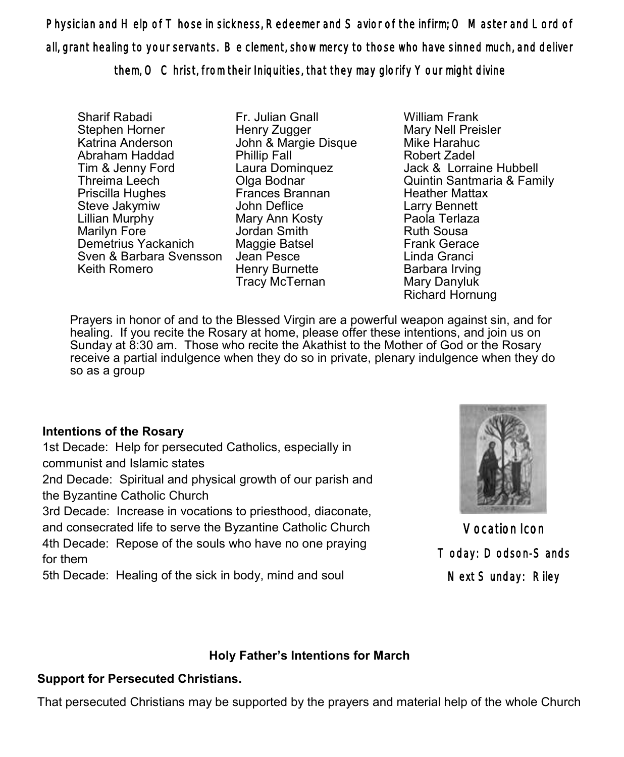Physician and Help of Those in sickness, Redeemer and Savior of the infirm; O Master and Lord of all, grant healing to your servants. Be clement, show mercy to those who have sinned much, and deliver them, O Christ, from their Iniquities, that they may glorify Your might divine

Sharif Rabadi Stephen Horner Katrina Anderson Abraham Haddad Tim & Jenny Ford Threima Leech Priscilla Hughes Steve Jakymiw Lillian Murphy Marilyn Fore Demetrius Yackanich Sven & Barbara Svensson Keith Romero

Fr. Julian Gnall Henry Zugger John & Margie Disque Phillip Fall Laura Dominquez Olga Bodnar Frances Brannan John Deflice Mary Ann Kosty Jordan Smith Maggie Batsel Jean Pesce Henry Burnette Tracy McTernan

William Frank Mary Nell Preisler Mike Harahuc Robert Zadel Jack & Lorraine Hubbell Quintin Santmaria & Family Heather Mattax Larry Bennett Paola Terlaza Ruth Sousa Frank Gerace Linda Granci Barbara Irving Mary Danyluk Richard Hornung

Prayers in honor of and to the Blessed Virgin are a powerful weapon against sin, and for healing. If you recite the Rosary at home, please offer these intentions, and join us on Sunday at 8:30 am. Those who recite the Akathist to the Mother of God or the Rosary receive a partial indulgence when they do so in private, plenary indulgence when they do so as a group

### **Intentions of the Rosary**

1st Decade: Help for persecuted Catholics, especially in communist and Islamic states

2nd Decade: Spiritual and physical growth of our parish and the Byzantine Catholic Church

3rd Decade: Increase in vocations to priesthood, diaconate, and consecrated life to serve the Byzantine Catholic Church 4th Decade: Repose of the souls who have no one praying for them

5th Decade: Healing of the sick in body, mind and soul



Vocation Icon Today: Dodson-Sands Next Sunday: Riley

### **Holy Father's Intentions for March**

### **Support for Persecuted Christians.**

That persecuted Christians may be supported by the prayers and material help of the whole Church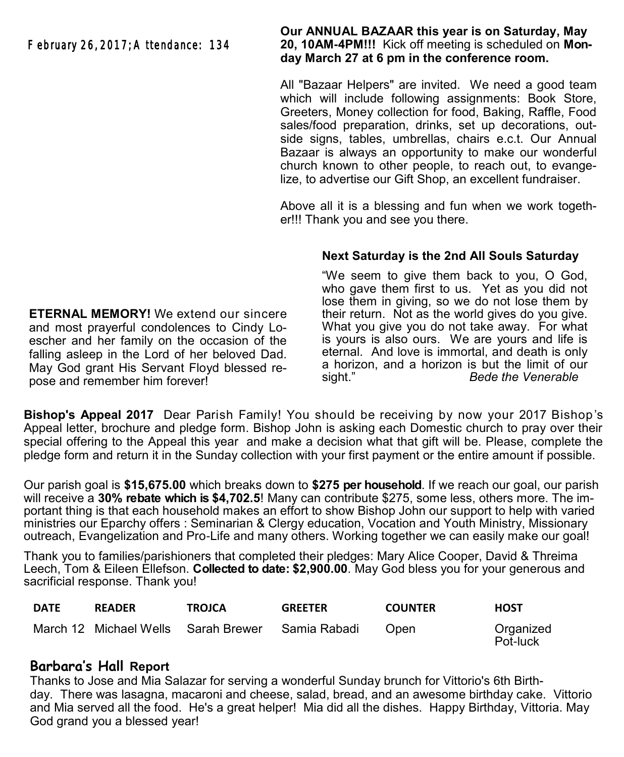February 26, 2017; Attendance: 134

**Our ANNUAL BAZAAR this year is on Saturday, May 20, 10AM-4PM!!!** Kick off meeting is scheduled on **Monday March 27 at 6 pm in the conference room.**

All "Bazaar Helpers" are invited. We need a good team which will include following assignments: Book Store, Greeters, Money collection for food, Baking, Raffle, Food sales/food preparation, drinks, set up decorations, outside signs, tables, umbrellas, chairs e.c.t. Our Annual Bazaar is always an opportunity to make our wonderful church known to other people, to reach out, to evangelize, to advertise our Gift Shop, an excellent fundraiser.

Above all it is a blessing and fun when we work together!!! Thank you and see you there.

### **Next Saturday is the 2nd All Souls Saturday**

"We seem to give them back to you, O God, who gave them first to us. Yet as you did not lose them in giving, so we do not lose them by their return. Not as the world gives do you give. What you give you do not take away. For what is yours is also ours. We are yours and life is eternal. And love is immortal, and death is only a horizon, and a horizon is but the limit of our sight." *Bede the Venerable*

**Bishop's Appeal 2017** Dear Parish Family! You should be receiving by now your 2017 Bishop's Appeal letter, brochure and pledge form. Bishop John is asking each Domestic church to pray over their special offering to the Appeal this year and make a decision what that gift will be. Please, complete the pledge form and return it in the Sunday collection with your first payment or the entire amount if possible.

Our parish goal is **\$15,675.00** which breaks down to **\$275 per household**. If we reach our goal, our parish will receive a **30% rebate which is \$4,702.5**! Many can contribute \$275, some less, others more. The important thing is that each household makes an effort to show Bishop John our support to help with varied ministries our Eparchy offers : Seminarian & Clergy education, Vocation and Youth Ministry, Missionary outreach, Evangelization and Pro-Life and many others. Working together we can easily make our goal!

Thank you to families/parishioners that completed their pledges: Mary Alice Cooper, David & Threima Leech, Tom & Eileen Ellefson. **Collected to date: \$2,900.00**. May God bless you for your generous and sacrificial response. Thank you!

| <b>DATE</b> | <b>READER</b> | <b>TROJCA</b>                                    | <b>GREETER</b> | <b>COUNTER</b> | <b>HOST</b>           |
|-------------|---------------|--------------------------------------------------|----------------|----------------|-----------------------|
|             |               | March 12 Michael Wells Sarah Brewer Samia Rabadi |                | Open           | Organized<br>Pot-luck |

### **Barbara's Hall Report**

Thanks to Jose and Mia Salazar for serving a wonderful Sunday brunch for Vittorio's 6th Birthday. There was lasagna, macaroni and cheese, salad, bread, and an awesome birthday cake. Vittorio and Mia served all the food. He's a great helper! Mia did all the dishes. Happy Birthday, Vittoria. May God grand you a blessed year!

**ETERNAL MEMORY!** We extend our sincere and most prayerful condolences to Cindy Loescher and her family on the occasion of the falling asleep in the Lord of her beloved Dad. May God grant His Servant Floyd blessed repose and remember him forever!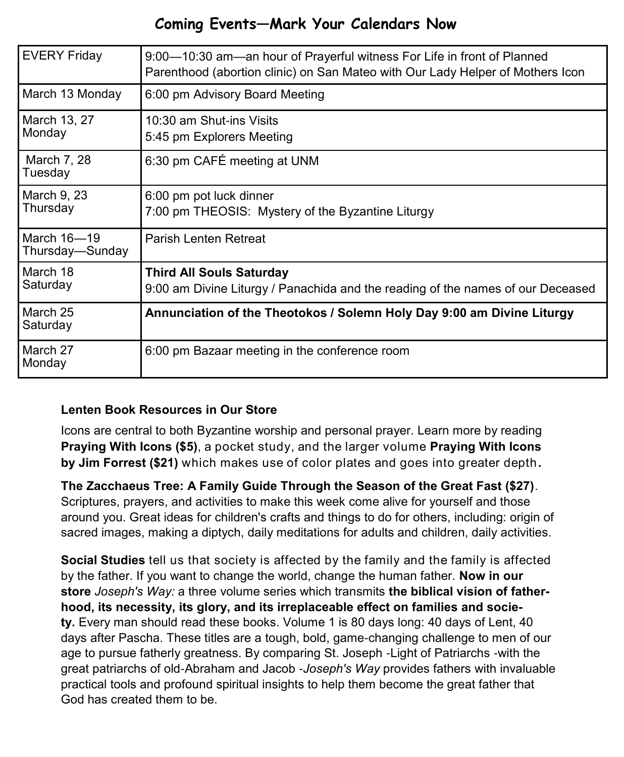# **Coming Events—Mark Your Calendars Now**

| <b>EVERY Friday</b>            | 9:00—10:30 am—an hour of Prayerful witness For Life in front of Planned<br>Parenthood (abortion clinic) on San Mateo with Our Lady Helper of Mothers Icon |  |
|--------------------------------|-----------------------------------------------------------------------------------------------------------------------------------------------------------|--|
| March 13 Monday                | 6:00 pm Advisory Board Meeting                                                                                                                            |  |
| March 13, 27<br>Monday         | 10:30 am Shut-ins Visits<br>5:45 pm Explorers Meeting                                                                                                     |  |
| March 7, 28<br>Tuesday         | 6:30 pm CAFÉ meeting at UNM                                                                                                                               |  |
| March 9, 23<br>Thursday        | 6:00 pm pot luck dinner<br>7:00 pm THEOSIS: Mystery of the Byzantine Liturgy                                                                              |  |
| March 16-19<br>Thursday-Sunday | Parish Lenten Retreat                                                                                                                                     |  |
| March 18<br>Saturday           | <b>Third All Souls Saturday</b><br>9:00 am Divine Liturgy / Panachida and the reading of the names of our Deceased                                        |  |
| March 25<br>Saturday           | Annunciation of the Theotokos / Solemn Holy Day 9:00 am Divine Liturgy                                                                                    |  |
| March 27<br>Monday             | 6:00 pm Bazaar meeting in the conference room                                                                                                             |  |

### **Lenten Book Resources in Our Store**

Icons are central to both Byzantine worship and personal prayer. Learn more by reading **Praying With Icons (\$5)**, a pocket study, and the larger volume **Praying With Icons by Jim Forrest (\$21)** which makes use of color plates and goes into greater depth**.** 

**The Zacchaeus Tree: A Family Guide Through the Season of the Great Fast (\$27)**. Scriptures, prayers, and activities to make this week come alive for yourself and those around you. Great ideas for children's crafts and things to do for others, including: origin of sacred images, making a diptych, daily meditations for adults and children, daily activities.

**Social Studies** tell us that society is affected by the family and the family is affected by the father. If you want to change the world, change the human father. **Now in our store** *Joseph's Way:* a three volume series which transmits **the biblical vision of fatherhood, its necessity, its glory, and its irreplaceable effect on families and society.** Every man should read these books. Volume 1 is 80 days long: 40 days of Lent, 40 days after Pascha. These titles are a tough, bold, game-changing challenge to men of our age to pursue fatherly greatness. By comparing St. Joseph -Light of Patriarchs -with the great patriarchs of old-Abraham and Jacob -*Joseph's Way* provides fathers with invaluable practical tools and profound spiritual insights to help them become the great father that God has created them to be.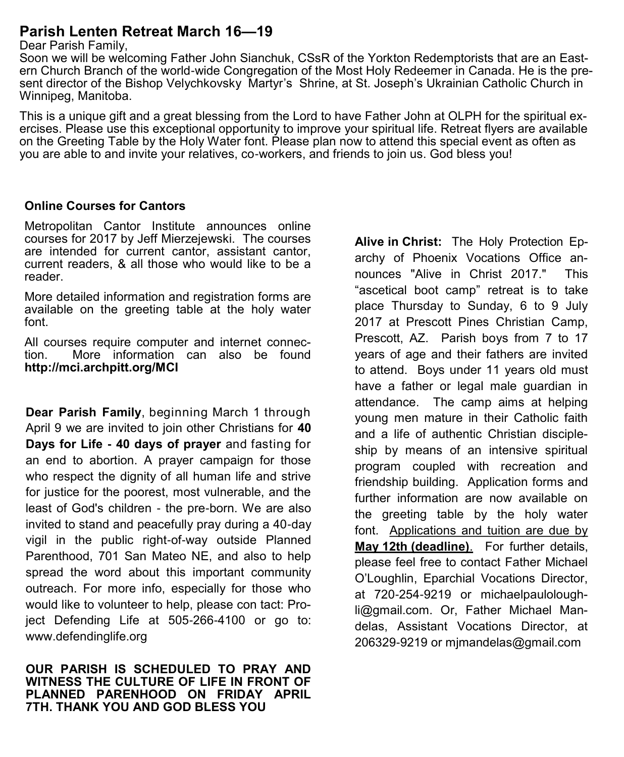## **Parish Lenten Retreat March 16—19**

#### Dear Parish Family,

Soon we will be welcoming Father John Sianchuk, CSsR of the Yorkton Redemptorists that are an Eastern Church Branch of the world-wide Congregation of the Most Holy Redeemer in Canada. He is the present director of the Bishop Velychkovsky Martyr's Shrine, at St. Joseph's Ukrainian Catholic Church in Winnipeg, Manitoba.

This is a unique gift and a great blessing from the Lord to have Father John at OLPH for the spiritual exercises. Please use this exceptional opportunity to improve your spiritual life. Retreat flyers are available on the Greeting Table by the Holy Water font. Please plan now to attend this special event as often as you are able to and invite your relatives, co-workers, and friends to join us. God bless you!

#### **Online Courses for Cantors**

Metropolitan Cantor Institute announces online courses for 2017 by Jeff Mierzejewski. The courses are intended for current cantor, assistant cantor, current readers, & all those who would like to be a reader.

More detailed information and registration forms are available on the greeting table at the holy water font.

All courses require computer and internet connection. More information can also be found **http://mci.archpitt.org/MCI**

**Dear Parish Family**, beginning March 1 through April 9 we are invited to join other Christians for **40 Days for Life - 40 days of prayer** and fasting for an end to abortion. A prayer campaign for those who respect the dignity of all human life and strive for justice for the poorest, most vulnerable, and the least of God's children - the pre-born. We are also invited to stand and peacefully pray during a 40-day vigil in the public right-of-way outside Planned Parenthood, 701 San Mateo NE, and also to help spread the word about this important community outreach. For more info, especially for those who would like to volunteer to help, please con tact: Project Defending Life at 505-266-[4100](tel:%28505%29%20266-4100) or go to: [www.defendinglife.org](http://www.defendinglife.org) 

**OUR PARISH IS SCHEDULED TO PRAY AND WITNESS THE CULTURE OF LIFE IN FRONT OF PLANNED PARENHOOD ON FRIDAY APRIL 7TH. THANK YOU AND GOD BLESS YOU**

**Alive in Christ:** The Holy Protection Eparchy of Phoenix Vocations Office announces "Alive in Christ 2017." This "ascetical boot camp" retreat is to take place Thursday to Sunday, 6 to 9 July 2017 at Prescott Pines Christian Camp, Prescott, AZ. Parish boys from 7 to 17 years of age and their fathers are invited to attend. Boys under 11 years old must have a father or legal male guardian in attendance. The camp aims at helping young men mature in their Catholic faith and a life of authentic Christian discipleship by means of an intensive spiritual program coupled with recreation and friendship building. Application forms and further information are now available on the greeting table by the holy water font. Applications and tuition are due by **May 12th (deadline)**. For further details, please feel free to contact Father Michael O'Loughlin, Eparchial Vocations Director, at 720-254-[9219](tel:%28720%29%20254-9219) or [michaelpaulolough](mailto:michaelpauloloughli@gmail.com)[li@gmail.com.](mailto:michaelpauloloughli@gmail.com) Or, Father Michael Mandelas, Assistant Vocations Director, at 206329-9219 or [mjmandelas@gmail.com](mailto:mjmandelas@gmail.com)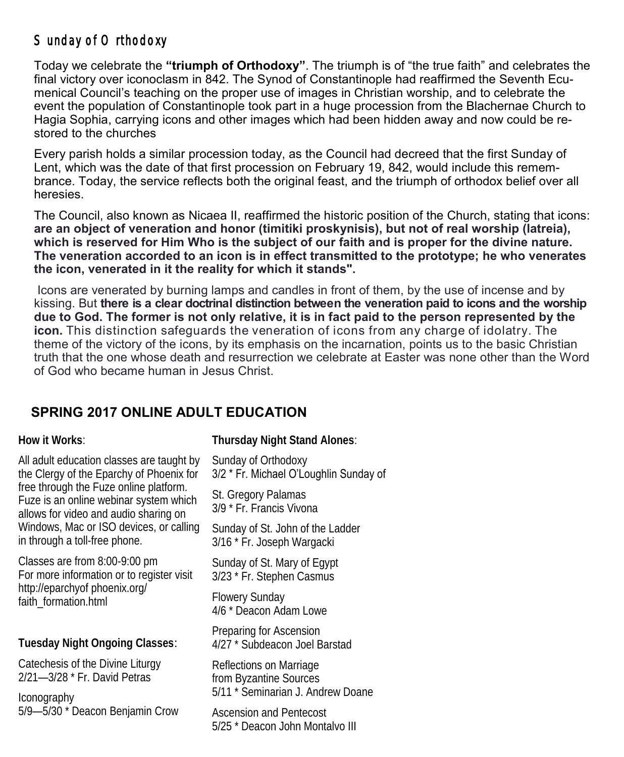# Sunday of Orthodoxy

Today we celebrate the **"triumph of Orthodoxy"**. The triumph is of "the true faith" and celebrates the final victory over iconoclasm in 842. The Synod of Constantinople had reaffirmed the Seventh Ecumenical Council's teaching on the proper use of images in Christian worship, and to celebrate the event the population of Constantinople took part in a huge procession from the Blachernae Church to Hagia Sophia, carrying icons and other images which had been hidden away and now could be restored to the churches

Every parish holds a similar procession today, as the Council had decreed that the first Sunday of Lent, which was the date of that first procession on February 19, 842, would include this remembrance. Today, the service reflects both the original feast, and the triumph of orthodox belief over all heresies.

The Council, also known as Nicaea II, reaffirmed the historic position of the Church, stating that icons: **are an object of veneration and honor (timitiki proskynisis), but not of real worship (latreia), which is reserved for Him Who is the subject of our faith and is proper for the divine nature. The veneration accorded to an icon is in effect transmitted to the prototype; he who venerates the icon, venerated in it the reality for which it stands".** 

Icons are venerated by burning lamps and candles in front of them, by the use of incense and by kissing. But **there is a clear doctrinal distinction between the veneration paid to icons and the worship due to God. The former is not only relative, it is in fact paid to the person represented by the icon.** This distinction safeguards the veneration of icons from any charge of idolatry. The theme of the victory of the icons, by its emphasis on the incarnation, points us to the basic Christian truth that the one whose death and resurrection we celebrate at Easter was none other than the Word of God who became human in Jesus Christ.

### **SPRING 2017 ONLINE ADULT EDUCATION**

**How it Works**:

All adult education classes are taught by the Clergy of the Eparchy of Phoenix for free through the Fuze online platform. Fuze is an online webinar system which allows for video and audio sharing on Windows, Mac or ISO devices, or calling in through a toll-free phone.

Classes are from 8:00-9:00 pm For more information or to register visit http://eparchyof phoenix.org/ faith\_formation.html

**Tuesday Night Ongoing Classes**:

Catechesis of the Divine Liturgy 2/21—3/28 \* Fr. David Petras

Iconography 5/9—5/30 \* Deacon Benjamin Crow **Thursday Night Stand Alones**:

Sunday of Orthodoxy 3/2 \* Fr. Michael O'Loughlin Sunday of

St. Gregory Palamas 3/9 \* Fr. Francis Vivona

Sunday of St. John of the Ladder 3/16 \* Fr. Joseph Wargacki

Sunday of St. Mary of Egypt 3/23 \* Fr. Stephen Casmus

Flowery Sunday 4/6 \* Deacon Adam Lowe

Preparing for Ascension 4/27 \* Subdeacon Joel Barstad

Reflections on Marriage from Byzantine Sources 5/11 \* Seminarian J. Andrew Doane

Ascension and Pentecost 5/25 \* Deacon John Montalvo III